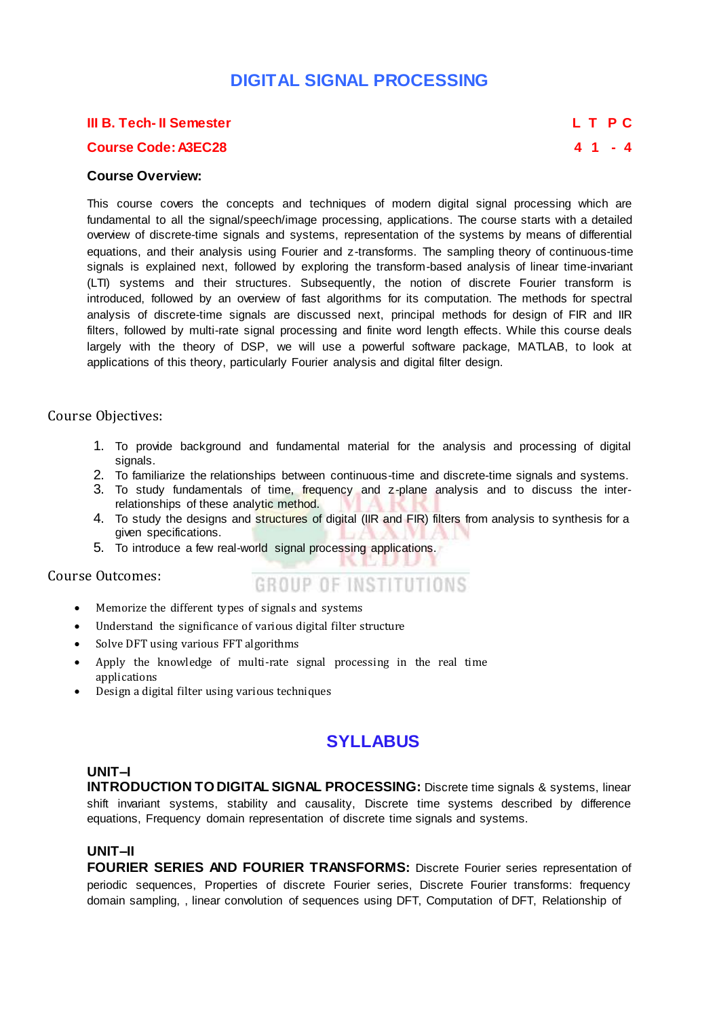# **DIGITAL SIGNAL PROCESSING**

#### **III B. Tech- II Semester L T P C**

### **Course Code: A3EC28 4 1 - 4**

#### **Course Overview:**

This course covers the concepts and techniques of modern digital signal processing which are fundamental to all the signal/speech/image processing, applications. The course starts with a detailed overview of discrete-time signals and systems, representation of the systems by means of differential equations, and their analysis using Fourier and z-transforms. The sampling theory of continuous-time signals is explained next, followed by exploring the transform-based analysis of linear time-invariant (LTI) systems and their structures. Subsequently, the notion of discrete Fourier transform is introduced, followed by an overview of fast algorithms for its computation. The methods for spectral analysis of discrete-time signals are discussed next, principal methods for design of FIR and IIR filters, followed by multi-rate signal processing and finite word length effects. While this course deals largely with the theory of DSP, we will use a powerful software package, MATLAB, to look at applications of this theory, particularly Fourier analysis and digital filter design.

### Course Objectives:

- 1. To provide background and fundamental material for the analysis and processing of digital signals.
- 2. To familiarize the relationships between continuous-time and discrete-time signals and systems.
- 3. To study fundamentals of time, frequency and z-plane analysis and to discuss the interrelationships of these analytic method.
- 4. To study the designs and structures of digital (IIR and FIR) filters from analysis to synthesis for a given specifications.
- 5. To introduce a few real-world signal processing applications.

Course Outcomes:

- **GROUP OF INSTITUTIONS**
- Memorize the different types of signals and systems
- Understand the significance of various digital filter structure
- Solve DFT using various FFT algorithms
- Apply the knowledge of multi-rate signal processing in the real time applications
- Design a digital filter using various techniques

# **SYLLABUS**

## **UNIT–I**

**INTRODUCTION TO DIGITAL SIGNAL PROCESSING:** Discrete time signals & systems, linear shift invariant systems, stability and causality, Discrete time systems described by difference equations, Frequency domain representation of discrete time signals and systems.

## **UNIT–II**

**FOURIER SERIES AND FOURIER TRANSFORMS:** Discrete Fourier series representation of periodic sequences, Properties of discrete Fourier series, Discrete Fourier transforms: frequency domain sampling, , linear convolution of sequences using DFT, Computation of DFT, Relationship of